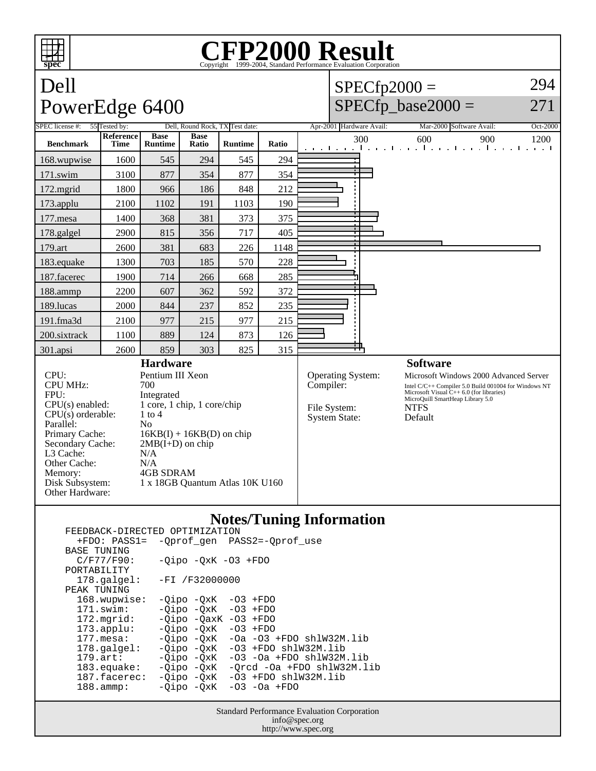## **CFP2000 Result** Copyright ©1999-2004, Standard Performance Evaluation

## Dell PowerEdge 6400  $SPECfp2000 =$  $SPECfp\_base2000 =$ 294 271 SPEC license #: 55 Tested by: Dell, Round Rock, TX Test date: Apr-2001 Hardware Avail: Mar-2000 Software Avail: Oct-2000 **Benchmark Reference Time Base Runtime Base Ratio Runtime Ratio** 300 600 900 1200 168.wupwise 1600 545 294 545 294 171.swim | 3100 | 877 | 354 | 877 | 354 172.mgrid | 1800 | 966 | 186 | 848 | 212 173.applu | 2100 | 1102 | 191 | 1103 | 190 177.mesa | 1400 | 368 | 381 | 373 | 375 178.galgel | 2900 | 815 | 356 | 717 | 405 179.art | 2600 | 381 | 683 | 226 | 1148 183.equake 1300 703 185 570 228 187.facerec | 1900 | 714 | 266 | 668 | 285 188.ammp | 2200 | 607 | 362 | 592 | 372 189.lucas | 2000 | 844 | 237 | 852 | 235 191.fma3d 2100 977 215 977 215 200.sixtrack 1100 889 124 873 126 301.apsi | 2600 | 859 | 303 | 825 | 315 **Hardware** CPU: Pentium III Xeon<br>CPU MHz: 700 CPU MHz: FPU: Integrated  $CPU(s)$  enabled:  $1 core, 1 chip, 1 core/chip$ <br> $CPU(s)$  orderable:  $1 to 4$  $CPU(s)$  orderable: Parallel: No<br>Primary Cache: 16  $16KB(I) + 16KB(D)$  on chip Secondary Cache:  $2MB(I+D)$  on chip L3 Cache: N/A<br>Other Cache: N/A Other Cache:<br>Memory: 4GB SDRAM Disk Subsystem: 1 x 18GB Quantum Atlas 10K U160 Other Hardware: **Software** Operating System: Microsoft Windows 2000 Advanced Server<br>
Compiler: Intel C/C++ Compiler 5.0 Build 001004 for Windows NT Intel C/C++ Compiler 5.0 Build 001004 for Windows NT Microsoft Visual C++ 6.0 (for libraries) MicroQuill SmartHeap Library 5.0 File System: NTFS<br>System State: Default System State:

## **Notes/Tuning Information** FEEDBACK-DIRECTED OPTIMIZATION

|                                                    | +FDO: PASS1= -Oprof gen PASS2=-Oprof use                                            |  |  |  |  |  |
|----------------------------------------------------|-------------------------------------------------------------------------------------|--|--|--|--|--|
|                                                    |                                                                                     |  |  |  |  |  |
| C/F77/F90:                                         | $-Oipo -OXK -O3 + FDO$                                                              |  |  |  |  |  |
|                                                    |                                                                                     |  |  |  |  |  |
| $178.\text{qalgel}$ :                              | -FI /F32000000                                                                      |  |  |  |  |  |
|                                                    |                                                                                     |  |  |  |  |  |
| 168.wupwise:                                       | $-Oipo -QxK -O3 + FDO$                                                              |  |  |  |  |  |
| 171.swim:                                          | $-Oipo -OXK -O3 + FDO$                                                              |  |  |  |  |  |
| 172.mqrid:                                         | $-Oipo -OaxK -O3 + FDO$                                                             |  |  |  |  |  |
| $173.\text{applu}:$                                | $-Oipo -OXK -O3 + FDO$                                                              |  |  |  |  |  |
| 177.mesa:                                          | $-Oipo$ $-OXK$ $-Oa$ $-O3$ $+FDO$ $sh1W32M.lib$                                     |  |  |  |  |  |
| $178.\texttt{qalqel:}$                             | $-Oipo -OXK -O3 + FDO sh1W32M.lib$                                                  |  |  |  |  |  |
| $179.\text{art}:$                                  | $-Oipo -OXK -O3 -Oa + FDO sh1W32M.lib$                                              |  |  |  |  |  |
| 183.equake:                                        | -Qipo -QxK -Qrcd -Oa +FDO shlW32M.lib                                               |  |  |  |  |  |
| $187.\text{facerez}$ :                             | $-Oipo -OXK -O3 + FDO shlW32M.lib$                                                  |  |  |  |  |  |
| $188.\text{amm}:$                                  | $-Qipo -QxK -O3 -Oa + FDO$                                                          |  |  |  |  |  |
|                                                    |                                                                                     |  |  |  |  |  |
| <b>Standard Performance Evaluation Corporation</b> |                                                                                     |  |  |  |  |  |
|                                                    | LBBDDACK DINBCIBD OFIINIBOAIION<br><b>BASE TUNING</b><br>PORTABILITY<br>PEAK TUNING |  |  |  |  |  |

Standard Performance Evaluation Corporation info@spec.org http://www.spec.org